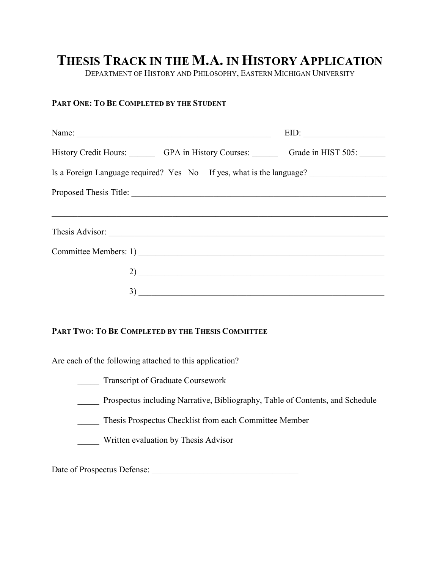## **THESIS TRACK IN THE M.A. IN HISTORY APPLICATION**

DEPARTMENT OF HISTORY AND PHILOSOPHY, EASTERN MICHIGAN UNIVERSITY

## **PART ONE: TO BE COMPLETED BY THE STUDENT**

| Name:                                                                | $EID: \begin{tabular}{ c c c } \hline \multicolumn{3}{ c }{0.2cm} \multicolumn{3}{ c }{0.2cm} \multicolumn{3}{ c }{0.2cm} \multicolumn{3}{ c }{0.2cm} \multicolumn{3}{ c }{0.2cm} \multicolumn{3}{ c }{0.2cm} \multicolumn{3}{ c }{0.2cm} \multicolumn{3}{ c }{0.2cm} \multicolumn{3}{ c }{0.2cm} \multicolumn{3}{ c }{0.2cm} \multicolumn{3}{ c }{0.2cm} \multicolumn{3}{ c }{0.2cm} \multicolumn{3}{ $ |
|----------------------------------------------------------------------|----------------------------------------------------------------------------------------------------------------------------------------------------------------------------------------------------------------------------------------------------------------------------------------------------------------------------------------------------------------------------------------------------------|
| History Credit Hours: GPA in History Courses: Grade in HIST 505:     |                                                                                                                                                                                                                                                                                                                                                                                                          |
| Is a Foreign Language required? Yes No If yes, what is the language? |                                                                                                                                                                                                                                                                                                                                                                                                          |
|                                                                      |                                                                                                                                                                                                                                                                                                                                                                                                          |
|                                                                      |                                                                                                                                                                                                                                                                                                                                                                                                          |
| Thesis Advisor:                                                      |                                                                                                                                                                                                                                                                                                                                                                                                          |
| Committee Members: 1)                                                |                                                                                                                                                                                                                                                                                                                                                                                                          |
| $\overline{2)}$ and $\overline{2}$                                   |                                                                                                                                                                                                                                                                                                                                                                                                          |
| $\overline{3)}$ $\overline{\phantom{15}}$                            |                                                                                                                                                                                                                                                                                                                                                                                                          |

## **PART TWO: TO BE COMPLETED BY THE THESIS COMMITTEE**

Are each of the following attached to this application?

- \_\_\_\_\_ Transcript of Graduate Coursework
- \_\_\_\_\_ Prospectus including Narrative, Bibliography, Table of Contents, and Schedule
- \_\_\_\_\_ Thesis Prospectus Checklist from each Committee Member
- \_\_\_\_\_ Written evaluation by Thesis Advisor

Date of Prospectus Defense: \_\_\_\_\_\_\_\_\_\_\_\_\_\_\_\_\_\_\_\_\_\_\_\_\_\_\_\_\_\_\_\_\_\_